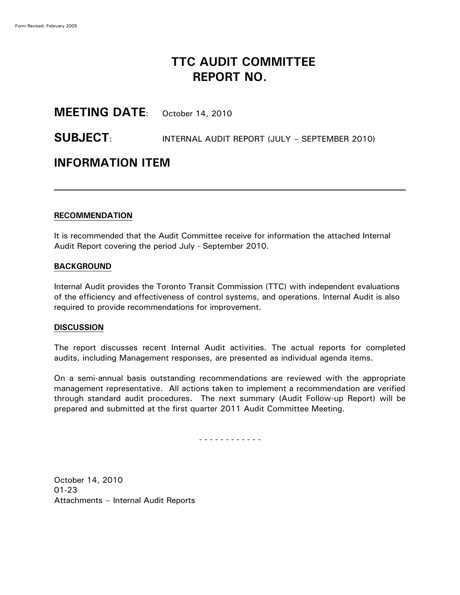# **TTC AUDIT COMMITTEE REPORT NO.**

### **MEETING DATE**: October 14, 2010

### **SUBJECT**: INTERNAL AUDIT REPORT (JULY – SEPTEMBER 2010)

## **INFORMATION ITEM**

#### **RECOMMENDATION**

It is recommended that the Audit Committee receive for information the attached Internal Audit Report covering the period July - September 2010.

### **BACKGROUND**

Internal Audit provides the Toronto Transit Commission (TTC) with independent evaluations of the efficiency and effectiveness of control systems, and operations. Internal Audit is also required to provide recommendations for improvement.

### **DISCUSSION**

The report discusses recent Internal Audit activities. The actual reports for completed audits, including Management responses, are presented as individual agenda items.

On a semi-annual basis outstanding recommendations are reviewed with the appropriate management representative. All actions taken to implement a recommendation are verified through standard audit procedures. The next summary (Audit Follow-up Report) will be prepared and submitted at the first quarter 2011 Audit Committee Meeting.

- - - - - - - - - - - -

October 14, 2010 01-23 Attachments – Internal Audit Reports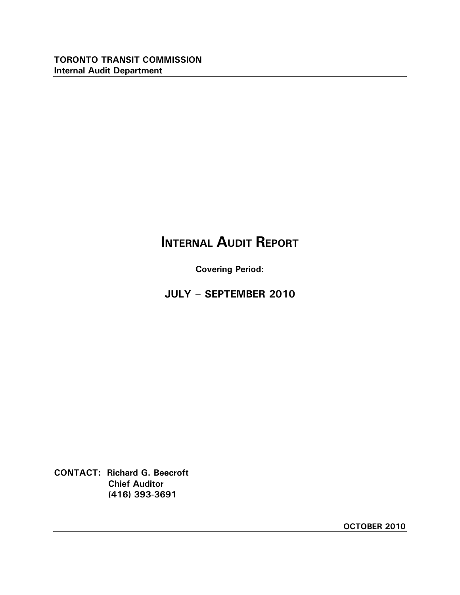# **INTERNAL AUDIT REPORT**

**Covering Period:**

<sup>3</sup>*B***JULY – SEPTEMBER 2010**

**CONTACT: Richard G. Beecroft Chief Auditor (416) 393-3691**

**OCTOBER 2010**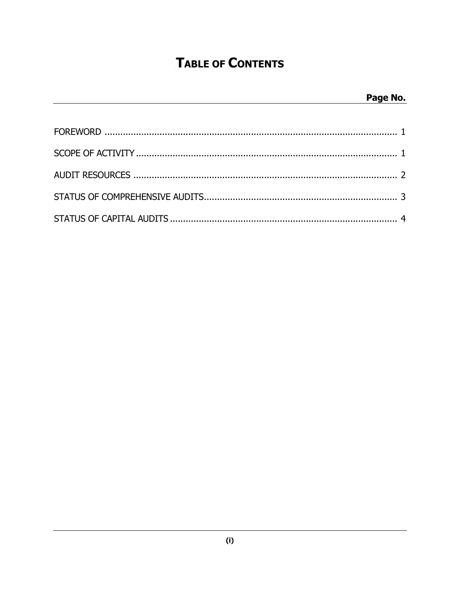# **TABLE OF CONTENTS**

## Page No.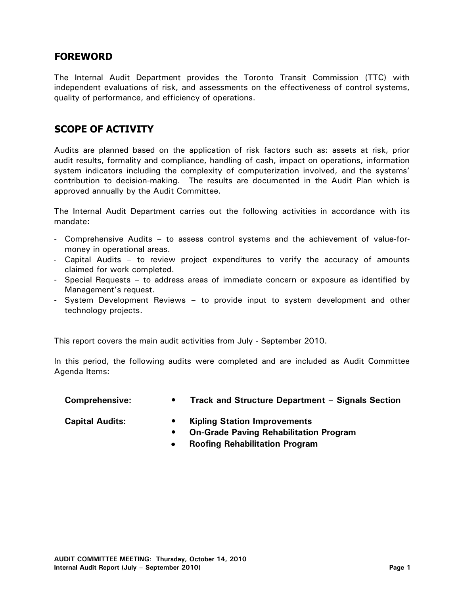### <sup>1</sup>*B***FOREWORD**

The Internal Audit Department provides the Toronto Transit Commission (TTC) with independent evaluations of risk, and assessments on the effectiveness of control systems, quality of performance, and efficiency of operations.

### <sup>2</sup>*B***SCOPE OF ACTIVITY**

Audits are planned based on the application of risk factors such as: assets at risk, prior audit results, formality and compliance, handling of cash, impact on operations, information system indicators including the complexity of computerization involved, and the systems' contribution to decision-making. The results are documented in the Audit Plan which is approved annually by the Audit Committee.

The Internal Audit Department carries out the following activities in accordance with its mandate:

- Comprehensive Audits to assess control systems and the achievement of value-formoney in operational areas.
- Capital Audits to review project expenditures to verify the accuracy of amounts claimed for work completed.
- Special Requests to address areas of immediate concern or exposure as identified by Management's request.
- System Development Reviews to provide input to system development and other technology projects.

This report covers the main audit activities from July - September 2010.

In this period, the following audits were completed and are included as Audit Committee Agenda Items:

| <b>Comprehensive:</b> |  | <b>Track and Structure Department - Signals Section</b> |  |
|-----------------------|--|---------------------------------------------------------|--|
|-----------------------|--|---------------------------------------------------------|--|

- **Capital Audits: • Kipling Station Improvements**
	- **• On-Grade Paving Rehabilitation Program**
	- **Roofing Rehabilitation Program** $\bullet$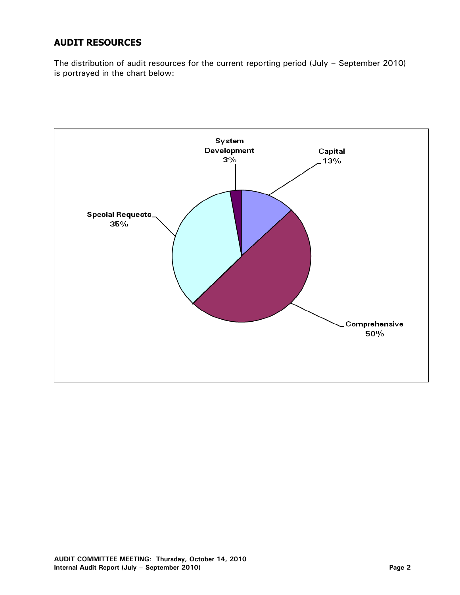## **AUDIT RESOURCES**

The distribution of audit resources for the current reporting period (July – September 2010) is portrayed in the chart below:

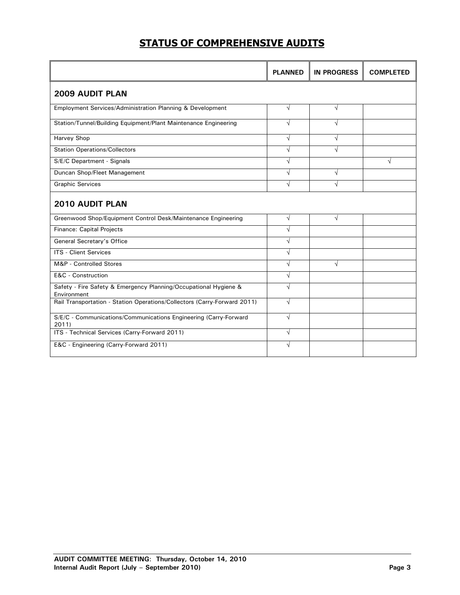## **STATUS OF COMPREHENSIVE AUDITS**

|                                                                                 | <b>PLANNED</b> | <b>IN PROGRESS</b> | <b>COMPLETED</b> |  |  |  |
|---------------------------------------------------------------------------------|----------------|--------------------|------------------|--|--|--|
| <b>2009 AUDIT PLAN</b>                                                          |                |                    |                  |  |  |  |
| Employment Services/Administration Planning & Development                       | $\sqrt{}$      | $\sqrt{}$          |                  |  |  |  |
| Station/Tunnel/Building Equipment/Plant Maintenance Engineering                 | $\sqrt{}$      | $\sqrt{ }$         |                  |  |  |  |
| Harvey Shop                                                                     | $\sqrt{ }$     | $\sqrt{}$          |                  |  |  |  |
| <b>Station Operations/Collectors</b>                                            | $\sqrt{}$      | $\sqrt{ }$         |                  |  |  |  |
| S/E/C Department - Signals                                                      | $\sqrt{ }$     |                    | V                |  |  |  |
| Duncan Shop/Fleet Management                                                    | $\sqrt{ }$     | $\sqrt{}$          |                  |  |  |  |
| <b>Graphic Services</b>                                                         | $\sqrt{ }$     | $\sqrt{}$          |                  |  |  |  |
| <b>2010 AUDIT PLAN</b>                                                          |                |                    |                  |  |  |  |
| Greenwood Shop/Equipment Control Desk/Maintenance Engineering                   | $\sqrt{ }$     | $\sqrt{ }$         |                  |  |  |  |
| <b>Finance: Capital Projects</b>                                                | $\sqrt{ }$     |                    |                  |  |  |  |
| General Secretary's Office                                                      | $\sqrt{ }$     |                    |                  |  |  |  |
| <b>ITS - Client Services</b>                                                    | $\sqrt{ }$     |                    |                  |  |  |  |
| M&P - Controlled Stores                                                         | $\sqrt{ }$     | $\sqrt{}$          |                  |  |  |  |
| E&C - Construction                                                              | $\sqrt{ }$     |                    |                  |  |  |  |
| Safety - Fire Safety & Emergency Planning/Occupational Hygiene &<br>Environment | $\sqrt{ }$     |                    |                  |  |  |  |
| Rail Transportation - Station Operations/Collectors (Carry-Forward 2011)        | $\sqrt{ }$     |                    |                  |  |  |  |
| S/E/C - Communications/Communications Engineering (Carry-Forward<br>2011        | $\sqrt{ }$     |                    |                  |  |  |  |
| ITS - Technical Services (Carry-Forward 2011)                                   | $\sqrt{ }$     |                    |                  |  |  |  |
| E&C - Engineering (Carry-Forward 2011)                                          | $\sqrt{}$      |                    |                  |  |  |  |